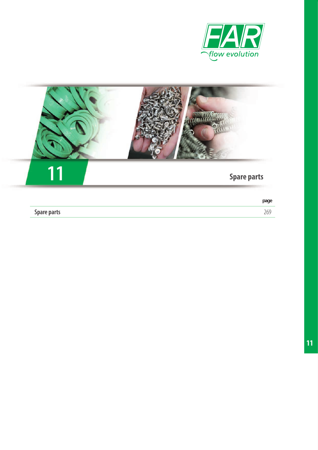



|                    | page |
|--------------------|------|
| <b>Spare parts</b> |      |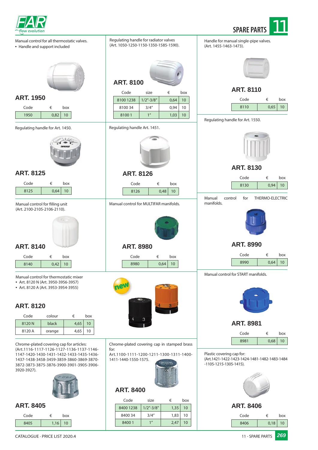



Manual control for all thermostatic valves.

• Handle and support included



### **ART. 1950**

| Code       |       | box |
|------------|-------|-----|
| 1 $\Omega$ | ∩ Ջิว | 10  |

### Regulating handle for Art. 1450.



### **ART. 8125**

| Code |       | box             |  |
|------|-------|-----------------|--|
| 8125 | 0,64' | 10 <sup>1</sup> |  |

### Manual control for filling unit (Art. 2100-2105-2106-2110).



### **ART. 8140**

| Code |      | hox |  |
|------|------|-----|--|
| 8140 | 0.42 | 10  |  |

Manual control for thermostatic mixer

- Art. 8120 N (Art. 3950-3956-3957)
- Art. 8120 A (Art. 3953-3954-3955)

# **ART. 8120**

| Code   | colour | €    | box |
|--------|--------|------|-----|
| 8120 N | black  | 4,65 | 10  |
| 8120 A | orange | 4,65 | 10  |

Chrome-plated covering cap for articles: (Art.1116-1117-1126-1127-1136-1137-1146- 1147-1420-1430-1431-1432-1433-1435-1436- 1437-1438-3458-3459-3859-3860-3869-3870- 3872-3873-3875-3876-3900-3901-3905-3906- 3920-3927).



### **ART. 8405**

| Code |      | box |
|------|------|-----|
| 8405 | 1,16 | 10  |

| Regulating handle for radiator valves<br>(Art. 1050-1250-1150-1350-1585-1590). |                       |                   |           | Handle for m<br>(Art. 1455-14                         |
|--------------------------------------------------------------------------------|-----------------------|-------------------|-----------|-------------------------------------------------------|
| <b>ART. 8100</b>                                                               |                       |                   |           |                                                       |
|                                                                                |                       |                   |           |                                                       |
| Code<br>8100 1238                                                              | size<br>$1/2 - 3/8$ " | €<br>0,64         | box<br>10 |                                                       |
| 810034                                                                         | 3/4''                 | 0,94              | 10        |                                                       |
| 81001                                                                          | 1 <sup>''</sup>       | 1,03              | 10        |                                                       |
|                                                                                |                       |                   |           | Regulating h                                          |
| Regulating handle Art. 1451.                                                   |                       |                   |           |                                                       |
|                                                                                |                       |                   |           |                                                       |
|                                                                                |                       |                   |           |                                                       |
|                                                                                |                       |                   |           |                                                       |
|                                                                                |                       |                   |           |                                                       |
| <b>ART. 8126</b>                                                               |                       |                   |           |                                                       |
| Code                                                                           | €                     | box               |           |                                                       |
| 8126                                                                           |                       | 0,48<br>10        |           |                                                       |
| Manual control for MULTIFAR manifolds.                                         |                       |                   |           | Manual<br>$\mathsf{C}$<br>manifolds.                  |
| <b>ART. 8980</b><br>Code<br>8980                                               | €                     | box<br>0,64<br>10 |           |                                                       |
|                                                                                |                       |                   |           | Manual cont                                           |
|                                                                                |                       |                   |           |                                                       |
| Chrome-plated covering cap in stamped brass                                    |                       |                   |           |                                                       |
| for:<br>Art.1100-1111-1200-1211-1300-1311-1400-<br>1411-1440-1550-1575.        |                       |                   |           | Plastic coveri<br>(Art.1421-142<br>$-1105 - 1215 - 1$ |

### **ART. 8400**

| Code      | size            | €    | box |
|-----------|-----------------|------|-----|
| 8400 1238 | $1/2$ "-3/8"    | 1,35 | 10  |
| 8400 34   | 3/4''           | 1,83 | 10  |
| 84001     | 1 <sup>II</sup> | 2,47 | 10  |

hanual single-pipe valves. 163-1473).



### **ART. 8110**

| Code |      | box |
|------|------|-----|
| 8110 | 0,65 | 10  |

andle for Art. 1550.



### **ART. 8130**

|                                     |         | Code             | €               | box |
|-------------------------------------|---------|------------------|-----------------|-----|
|                                     |         | 8130             | 0,94            | 10  |
| Manual<br>manifolds.                | control | for              | THERMO-ELECTRIC |     |
|                                     |         |                  |                 |     |
|                                     |         |                  |                 |     |
|                                     |         | <b>ART. 8990</b> |                 |     |
|                                     |         | Code             | €               | box |
|                                     |         | 8990             | 0,64            | 10  |
| Manual control for START manifolds. |         |                  |                 |     |



**ART. 8981**

| Code |      | box       |
|------|------|-----------|
| 8981 | 0,68 | $10^{-1}$ |

ing cap for: (Art.1421-1422-1423-1424-1481-1482-1483-1484 305-1415).



### **ART. 8406**

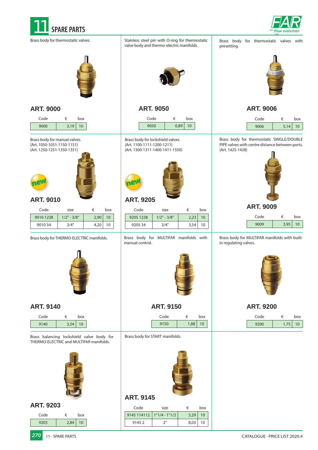



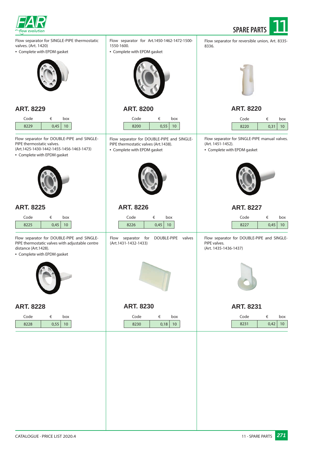



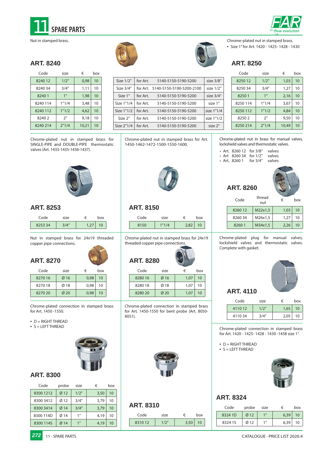



Nut in stamped brass.

### **ART. 8240**

| Code     | size            | €     | box |
|----------|-----------------|-------|-----|
| 8240 12  | 1/2"            | 0,98  | 10  |
| 8240 34  | 3/4''           | 1,11  | 10  |
| 82401    | 1 <sup>''</sup> | 1,98  | 10  |
| 8240 114 | 1"1/4           | 3,48  | 10  |
| 8240 112 | 1"1/2           | 4,62  | 10  |
| 82402    | 2 <sup>''</sup> | 9,18  | 10  |
| 8240 214 | 2''1/4          | 10,21 | 10  |



Chrome-plated nut in stamped brass.

• Size 1" for Art. 1420 - 1425- 1428 - 1430

### **ART. 8250**

| Code     | size            | €     | box |
|----------|-----------------|-------|-----|
| 825012   | 1/2"            | 1,03  | 10  |
| 825034   | 3/4''           | 1,27  | 10  |
| 82501    | 1 <sup>''</sup> | 2,16  | 10  |
| 8250114  | 1''1/4          | 3,67  | 10  |
| 8250 112 | 1"1/2           | 4,84  | 10  |
| 82502    | 2 <sup>''</sup> | 9,50  | 10  |
| 8250 214 | 2"1/4           | 10,49 | 10  |

Chrome-plated nut in stamped brass for SINGLE-PIPE and DOUBLE-PIPE thermostatic valves (Art. 1433-1435-1436-1437).

Chrome-plated nut in stamped brass for Art. 1450-1462-1472-1500-1550-1600.

Size  $1/2''$  for Art. 5140-5150-5190-5200 size 3/8" Size 3/4" | for Art. 5140-5150-5190-5200-2100 | size 1/2" Size 1" | for Art. 5140-5150-5190-5200 | size 3/4" Size  $1''1/4$  for Art. 5140-5150-5190-5200 size 1" Size  $1"1/2$  for Art. 5140-5150-5190-5200 size 1"1/4 Size 2" for Art. 5140-5150-5190-5200 size 1"1/2 Size  $2''1/4$  for Art. 5140-5150-5190-5200 size  $2''$ 



### **ART. 8150**

| Code | size |      | hox |
|------|------|------|-----|
| 8150 | 1111 | າ ຂາ | 10  |

Chrome-plated nut in stamped brass for 24x19 threaded copper pipe connections.

| Code    | size             | €    | box |
|---------|------------------|------|-----|
| 828016  | Ø16              | 1.07 | 10  |
| 828018  | Ø18              | 1.07 | 10  |
| 8280 20 | $\varnothing$ 20 | 1.07 | 10  |

Chrome-plated connection in stamped brass for Art. 1450-1550 for bent probe (Art. 8050- 8051).



### **ART. 8310**

| Code   | size  |      | box             |
|--------|-------|------|-----------------|
| 831012 | 1/2'' | 3,50 | 10 <sup>°</sup> |

Chrome-plated nut in brass for manual valves, lockshield valves and thermostatic valves.

• Art. 8260 12 for 3/8" valves<br>• Art 8260 34 for 1/2" valves • Art 8260 34 for 1/2" valves<br>• Art. 8260 1 for 3/4" valves • Art. 8260 1 for  $3/4''$ 

**ART. 8260**



| Code    | thread<br>nut | €    | hox |
|---------|---------------|------|-----|
| 8260 12 | M22x1,5       | 1,03 | 10  |
| 826034  | M26x1,5       | 1,27 | 10  |
| 82601   | M34x1,5       | 2,26 | 10  |

Chrome-plated plug for manual valves, lockshield valves and thermostatic valves. Complete with gasket.



### Code size € box 4110 12 1/2" 1,65 10 4110 34 3/4" 2,05 10

Chrome-plated connection in stamped brass for Art. 1420 - 1425- 1428 - 1430 -1438 size 1".

 $\bullet$  D = RIGHT THREAD

**ART. 4110**

• S = LEFT THREAD



### **ART. 8324**

| Code    | probe | size | €    | box |
|---------|-------|------|------|-----|
| 8324 1D | Ø12   | 1    | 6,39 | 10  |
| 8324 1S | Ø12   | 1    | 6,39 | 10  |



### **ART. 8253**

| Code |  |  |
|------|--|--|
| : 3A |  |  |

### Nut in stamped brass for 24x19 threaded copper pipe connections.

### **ART. 8270**  $Code$

| size | €    | box |
|------|------|-----|
| Ø16  | 0,98 | 10  |

| 827016  | Ø16              | 0.98 | 10 |
|---------|------------------|------|----|
| 827018  | Ø18              | 0.98 | 10 |
| 8270 20 | $\varnothing$ 20 | 0.98 | 10 |

Chrome-plated connection in stamped brass for Art. 1450 -1550.

- $\bullet$  D = RIGHT THREAD
- S = LEFT THREAD



### **ART. 8300**

| Code      | probe          | size            | €    | box |
|-----------|----------------|-----------------|------|-----|
| 8300 1212 | Ø12            | 1/2"            | 3,50 | 10  |
| 8300 3412 | Ø12            | 3/4''           | 3.79 | 10  |
| 8300 3414 | $\emptyset$ 14 | 3/4''           | 3,79 | 10  |
| 8300 114D | Ø14            | 1''             | 4,19 | 10  |
| 8300 114S | Ø14            | 1 <sup>''</sup> | 4,19 | 10  |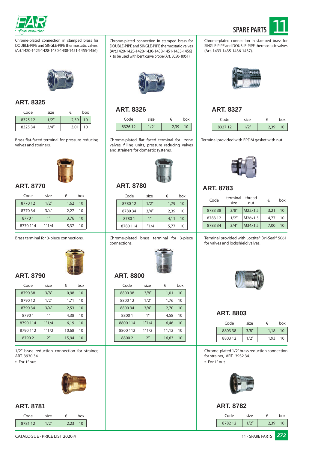



Chrome-plated connection in stamped brass for DOUBLE-PIPE and SINGLE-PIPE thermostatic valves. (Art.1420-1425-1428-1430-1438-1451-1455-1456)



### **ART. 8325**

| Code    | size  | €    | box |
|---------|-------|------|-----|
| 8325 12 | 1/2'' | 2,39 | 10  |
| 8325 34 | 3/4'' | 3,01 | 10  |

Brass flat-faced terminal for pressure reducing valves and strainers.



### **ART. 8770**

| Code    | size            | €    | box |
|---------|-----------------|------|-----|
| 877012  | 1/2"            | 1,62 | 10  |
| 877034  | 3/4''           | 2,27 | 10  |
| 87701   | 1 <sup>''</sup> | 3,76 | 10  |
| 8770114 | 1''1/4          | 5,37 | 10  |

Brass terminal for 3-piece connections.



### **ART. 8790**

| Code     | size            | €     | box |  |
|----------|-----------------|-------|-----|--|
| 879038   | 3/8''           | 0,98  | 10  |  |
| 879012   | 1/2"            | 1,71  | 10  |  |
| 879034   | 3/4''           | 2,53  | 10  |  |
| 87901    | 1 <sup>''</sup> | 4,38  | 10  |  |
| 8790114  | 1''1/4          | 6,19  | 10  |  |
| 8790 112 | 1''1/2          | 10,68 | 10  |  |
| 87902    | 2 <sup>n</sup>  | 15,94 | 10  |  |

1/2" brass reduction connection for strainer, ART. 3930 34.

• For 1" nut



### **ART. 8781**

| Code   | size  | ఆ    | hox |
|--------|-------|------|-----|
| 878112 | 1/2'' | 2,23 | 10  |

Chrome-plated connection in stamped brass for DOUBLE-PIPE and SINGLE-PIPE thermostatic valves (Art.1420-1425-1428-1430-1438-1451-1455-1456) • to be used with bent curve probe (Art. 8050- 8051)



### **ART. 8326 ART. 8327**

| Code   | size |      | hox |
|--------|------|------|-----|
| 832612 |      | 2,39 | 10  |

Chrome-plated flat faced terminal for zone valves, filling units, pressure reducing valves and strainers for domestic systems.



# **ART. 8780**

| Code    | size            | €    | box |
|---------|-----------------|------|-----|
| 878012  | 1/2"            | 1.79 | 10  |
| 878034  | 3/4''           | 2,39 | 10  |
| 87801   | 1 <sup>''</sup> | 4,11 | 10  |
| 8780114 | 1"1/4           | 5.77 | 10  |

Chrome-plated brass terminal for 3-piece connections.



# **ART. 8800**

| Code     | size            | €     | box |
|----------|-----------------|-------|-----|
| 8800 38  | 3/8''           | 1,01  | 10  |
| 8800 12  | 1/2"            | 1,76  | 10  |
| 880034   | 3/4''           | 2,70  | 10  |
| 88001    | 1 <sup>''</sup> | 4,58  | 10  |
| 8800 114 | 1"1/4           | 6,46  | 10  |
| 8800 112 | 1''1/2          | 11,12 | 10  |
| 88002    | 2 <sup>''</sup> | 16,63 | 10  |
|          |                 |       |     |



Chrome-plated connection in stamped brass for SINGLE-PIPE and DOUBLE-PIPE thermostatic valves

(Art. 1433-1435-1436-1437).

| Code   | size  |      | hox |
|--------|-------|------|-----|
| 832712 | 1/2'' | 2,39 | 10  |

Terminal provided with EPDM gasket with nut.



# **ART. 8783**

| Code   | terminal<br>size | thread<br>nut | €    | hox |
|--------|------------------|---------------|------|-----|
| 878338 | 3/8''            | M22x1,5       | 3,21 | 10  |
| 878312 | 1/2"             | M26x1,5       | 4.77 | 10  |
| 878334 | 3/4''            | M34x1,5       | 7,00 | 10  |

Terminal provided with Loctite® Dri-Seal® 5061 for valves and lockshield valves.



### **ART. 8803**

| Code   | size  | €    | box |
|--------|-------|------|-----|
| 880338 | 3/8'' | 1,18 | 10  |
| 880312 | 1/2'' | 1,93 | 10  |

Chrome-plated 1/2" brass reduction connection for strainer, ART. 3932 34.

• For 1" nut



### **ART. 8782**

| Code   | size |      | hox |
|--------|------|------|-----|
| 878212 |      | 7.39 |     |

CATALOGUE · PRICE LIST 2020.4 11 - SPARE PARTS *273*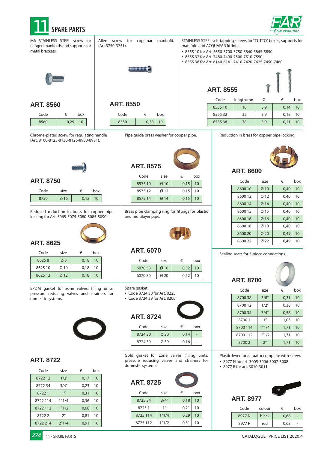

metal brackets.



Reduction in brass for copper pipe locking. Allen screw for coplanar manifold. (Art.3750-3751). **ART. 8550** M6 STAINLESS STEEL screw for flanged manifolds and supports for **ART. 8555** STAINLESS STEEL self-tapping screws for "TUTTO" boxes, supports for manifold and ACQUAFAR fittings. • 8555 10 for Art. 5650-5700-5750-5840-5845-5850 • 8555 32 for Art. 7480-7490-7500-7510-7550 • 8555 38 for Art. 6140-6141-7410-7420-7425-7450-7460 Pipe guide brass washer for copper pipe. Code  $\epsilon$  box  $8550$  0,38 10 Code length/mm  $\emptyset$   $\in$  box  $855510$  10 3,9 0,14 10  $855532$  32 3,9 0,18 10  $855538$  38 3,9 0,21 10



### **ART. 8600**

| Code    | size | €    | box |
|---------|------|------|-----|
| 8600 10 | Ø10  | 0,40 | 10  |
| 8600 12 | Ø12  | 0,40 | 10  |
| 8600 14 | Ø14  | 0,40 | 10  |
| 8600 15 | Ø 15 | 0,40 | 10  |
| 8600 16 | Ø16  | 0,40 | 10  |
| 8600 18 | Ø18  | 0,40 | 10  |
| 8600 20 | Ø20  | 0,49 | 10  |
| 8600 22 | Ø 22 | 0.49 | 10  |
|         |      |      |     |

Sealing seats for 3-piece connections.

| <b>ART. 8700</b> |                 |      |     |  |
|------------------|-----------------|------|-----|--|
| Code             | size            | €    | box |  |
| 8700 38          | 3/8''           | 0,31 | 10  |  |
| 8700 12          | 1/2"            | 0,38 | 10  |  |
| 8700 34          | 3/4''           | 0,58 | 10  |  |
| 87001            | 1 <sup>''</sup> | 1,03 | 10  |  |
| 8700114          | 1"1/4           | 1,71 | 10  |  |
| 8700 112         | 1''1/2          | 1,71 | 10  |  |
| 87002            | 2 <sup>''</sup> | 1,71 | 10  |  |

Plastic lever for actuator complete with screw. • 8977 N for art. 3005-3006-3007-3008

• 8977 R for art. 3010-3011



| Code   | colour | €    | box |
|--------|--------|------|-----|
| 8977N  | black  | 0,68 |     |
| 8977 R | red    | 0,68 |     |

**ART. 8560**  $Code \qquad \qquad \in \qquad box$ 

 $8560$  0,29 10

Chrome-plated screw for regulating handle (Art. 8100-8125-8130-8126-8980-8981).



| Code | size |              | א∩ר |
|------|------|--------------|-----|
|      | IΟ   | $\bigcap$ 12 |     |

Reduced reduction in brass for copper pipe locking for Art. 5065-5075-5080-5085-5090.



## **ART. 8625**

| Code    | size | €    | box |
|---------|------|------|-----|
| 86258   | Ø8   | 0,18 | 10  |
| 8625 10 | Ø10  | 0.18 | 10  |
| 8625 12 | Ø12  | 0.18 | 10  |

EPDM gasket for zone valves, filling units, pressure reducing valves and strainers for domestic systems.



### **ART. 8722**

| Code     | size            | €    | hox |
|----------|-----------------|------|-----|
| 872212   | 1/2'            | 0,17 | 10  |
| 872234   | 3/4''           | 0,23 | 10  |
| 87221    | 1 <sup>''</sup> | 0,31 | 10  |
| 8722114  | 1''1/4          | 0,36 | 10  |
| 8722112  | 1"1/2           | 0,68 | 10  |
| 87222    | 2 <sup>''</sup> | 0,81 | 10  |
| 8722 214 | 2"1/4           | 0,91 | 10  |

# ART.

| Code    | size            | €    | box |
|---------|-----------------|------|-----|
| 8575 10 | $Ø$ 10          | 0,15 | 10  |
| 857512  | Ø <sub>12</sub> | 0,15 | 10  |
| 8575 14 | Ø14             | 0.15 | 10  |

Brass pipe clamping ring for fittings for plastic and multilayer pipe.



### **ART. 6070**

| Code    | size | €    | box |
|---------|------|------|-----|
| 6070 58 | Ø16  | 0.52 | 10  |
| 607080  | Ø20  | 0.52 | 10  |

- Spare gasket.
- Code 8724 30 for Art. 8225
- Code 8724 39 for Art. 8200

| <b>ART. 8724</b> |      |      |     |
|------------------|------|------|-----|
| Code             | size | €    | box |
| 872430           | Ø30  | 0,14 |     |
|                  |      |      |     |

Gold gasket for zone valves, filling units, pressure reducing valves and strainers for domestic systems.

# **ART. 8725**

| Code     | size   | €    | box |
|----------|--------|------|-----|
| 872534   | 3/4''  | 0,18 | 10  |
| 87251    | 1''    | 0,21 | 10  |
| 8725 114 | 1"1/4  | 0,29 | 10  |
| 8725 112 | 1''1/2 | 0,31 | 10  |

**274** 11 - SPARE PARTS **CATALOGUE · PRICE LIST 2020.4** 

| 8575 |      |   |     |  |
|------|------|---|-----|--|
| e    | size | € | box |  |

| .       | $-11 - - -$     |      | $\sim$ $\sim$ $\sim$ |
|---------|-----------------|------|----------------------|
| 8575 10 | Ø10             | 0,15 | 10                   |
| 857512  | Ø12             | 0,15 | 10                   |
| 8575 14 | Ø <sub>14</sub> | 0,15 | 10                   |

| Code    | size | €    | box |
|---------|------|------|-----|
| 6070 58 | Ø16  | 0,52 | 10  |
| 607080  | Ø20  | 0.52 | 10  |



| couc   | ت ۱۷ د |      | <b>NUM</b> |
|--------|--------|------|------------|
| 872430 | Ø30    | 0.14 |            |
| 872439 | Ø 39   | 0,16 |            |
|        |        |      |            |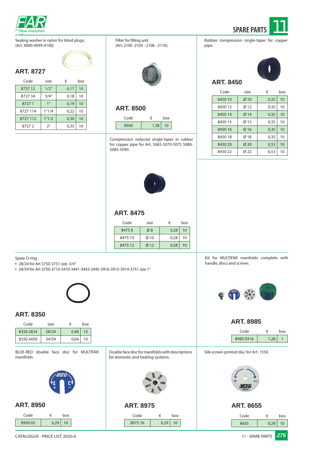

**ART. 8727**



Code size  $\epsilon$  box 8450 10  $\begin{array}{|c|c|c|c|c|c|} \hline \text{8450 10} & \text{810} & \text{0.35} & \text{10} \end{array}$ 8450 12 Ø 12 0,35 10 8450 14 0 14 0,35 10 8450 15 Ø 15 0,35 10 8450 16 | Ø 16 | 0,35 | 10 8450 18 Ø 18 0,35 10 8450 20 Ø 20 0,53 10 8450 22 Ø 22 0,53 10

pipe.

**ART. 8450**

Sealing washer in nylon for blind plugs. (Art. 4000-4099-4100)

| Code     | size            | €    | box |  |
|----------|-----------------|------|-----|--|
| 872712   | 1/2"            | 0,17 | 10  |  |
| 872734   | 3/4''           | 0,18 | 10  |  |
| 87271    | 1 <sup>''</sup> | 0,19 | 10  |  |
| 8727 114 | 1''1/4          | 0,22 | 10  |  |
| 8727 112 | 1"1/2           | 0,30 | 10  |  |
| 87272    | 2 <sup>n</sup>  | 0,35 | 10  |  |

Filter for filling unit. (Art. 2100 -2105 - 2106 - 2110).



# **ART. 8500**

| Code |      | box |
|------|------|-----|
| 8500 | 1,38 |     |

Compression reduced single-taper in rubber for copper pipe for Art. 5065-5070-5075 5080- 5085-5090.



### **ART. 8475**

| Code    | size | €    | box |
|---------|------|------|-----|
| 84758   | Ø8   | 0.28 | 10  |
| 8475 10 | Ø10  | 0.28 | 10  |
| 8475 12 | Ø12  | 0.28 | 10  |

Spare O-ring.

• 28/24 for Art 3750-3751 size. 3/4"

• 34/59 for Art 3750-3710-3410-3441-3443-3445-3916-3915-3914-3751 size 1"

### **ART. 8350**

| Code      | size  | €    | box |
|-----------|-------|------|-----|
| 83502824  | 28/24 | 0.48 | 10  |
| 8350 3459 | 34/59 | 0.64 | 10  |

BLUE-RED double face disc for MULTIFAR manifolds.



### **ART. 8950**

| Code   |      | box |
|--------|------|-----|
| 895003 | 0.29 | 10  |

Kit for MULTIFAR manifolds complete with handle, discs and screws.



### **ART. 8985**

|                  |                                                                                                          |                 |                                         | Code             | €    | box |
|------------------|----------------------------------------------------------------------------------------------------------|-----------------|-----------------------------------------|------------------|------|-----|
|                  |                                                                                                          |                 |                                         | 8985 0316        | 1,28 | 1   |
|                  | Double face disc for manifolds with descriptions<br>for domestic and heating systems.<br>138<br>€<br>box |                 | Silk-screen printed disc for Art. 1550. |                  |      |     |
|                  |                                                                                                          |                 |                                         |                  |      |     |
| <b>ART. 8975</b> |                                                                                                          |                 |                                         | <b>ART. 8655</b> |      |     |
| Code             |                                                                                                          |                 |                                         | Code             | €    | box |
| 8975 16          | 0,29                                                                                                     | 10 <sup>1</sup> |                                         | 8655             | 0,29 | 10  |
|                  |                                                                                                          |                 |                                         |                  |      |     |

CATALOGUE · PRICE LIST 2020.4 **275** 2008 11 - SPARE PARTS **275**